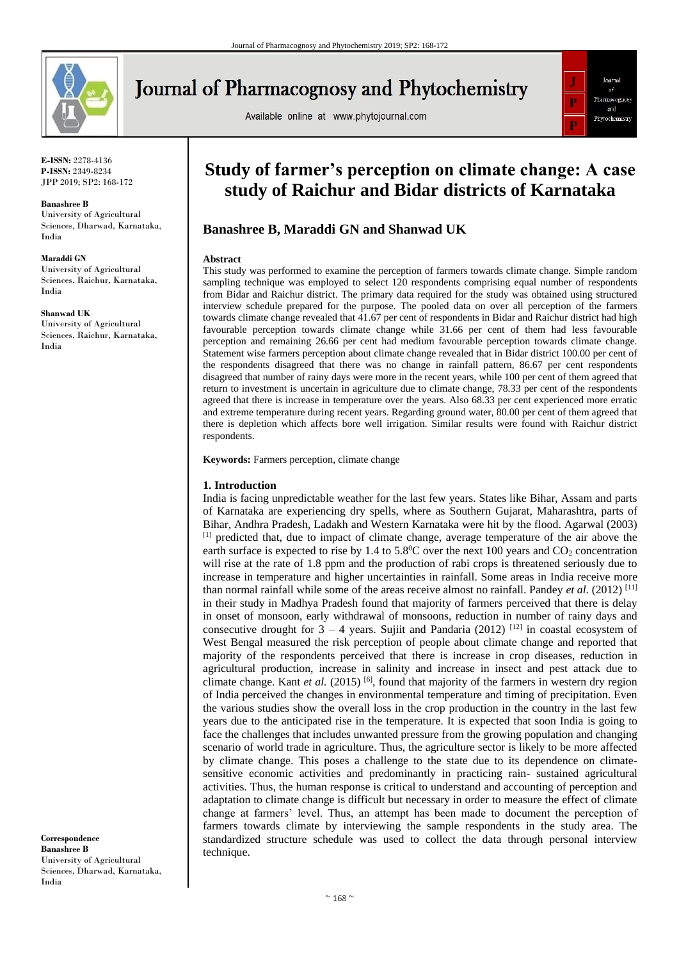

# **Journal of Pharmacognosy and Phytochemistry**

Available online at www.phytojournal.com



**E-ISSN:** 2278-4136 **P-ISSN:** 2349-8234 JPP 2019; SP2: 168-172

#### **Banashree B**

University of Agricultural Sciences, Dharwad, Karnataka, India

#### **Maraddi GN**

University of Agricultural Sciences, Raichur, Karnataka, India

**Shanwad UK**

University of Agricultural Sciences, Raichur, Karnataka, India

**Correspondence Banashree B** University of Agricultural Sciences, Dharwad, Karnataka, India

# **Study of farmer's perception on climate change: A case study of Raichur and Bidar districts of Karnataka**

## **Banashree B, Maraddi GN and Shanwad UK**

#### **Abstract**

This study was performed to examine the perception of farmers towards climate change. Simple random sampling technique was employed to select 120 respondents comprising equal number of respondents from Bidar and Raichur district. The primary data required for the study was obtained using structured interview schedule prepared for the purpose. The pooled data on over all perception of the farmers towards climate change revealed that 41.67 per cent of respondents in Bidar and Raichur district had high favourable perception towards climate change while 31.66 per cent of them had less favourable perception and remaining 26.66 per cent had medium favourable perception towards climate change. Statement wise farmers perception about climate change revealed that in Bidar district 100.00 per cent of the respondents disagreed that there was no change in rainfall pattern, 86.67 per cent respondents disagreed that number of rainy days were more in the recent years, while 100 per cent of them agreed that return to investment is uncertain in agriculture due to climate change, 78.33 per cent of the respondents agreed that there is increase in temperature over the years. Also 68.33 per cent experienced more erratic and extreme temperature during recent years. Regarding ground water, 80.00 per cent of them agreed that there is depletion which affects bore well irrigation. Similar results were found with Raichur district respondents.

**Keywords:** Farmers perception, climate change

#### **1. Introduction**

India is facing unpredictable weather for the last few years. States like Bihar, Assam and parts of Karnataka are experiencing dry spells, where as Southern Gujarat, Maharashtra, parts of Bihar, Andhra Pradesh, Ladakh and Western Karnataka were hit by the flood. Agarwal (2003)  $<sup>[1]</sup>$  predicted that, due to impact of climate change, average temperature of the air above the</sup> earth surface is expected to rise by 1.4 to  $5.8^{\circ}$ C over the next 100 years and CO<sub>2</sub> concentration will rise at the rate of 1.8 ppm and the production of rabi crops is threatened seriously due to increase in temperature and higher uncertainties in rainfall. Some areas in India receive more than normal rainfall while some of the areas receive almost no rainfall. Pandey et al. (2012)<sup>[11]</sup> in their study in Madhya Pradesh found that majority of farmers perceived that there is delay in onset of monsoon, early withdrawal of monsoons, reduction in number of rainy days and consecutive drought for  $3 - 4$  years. Sujiit and Pandaria (2012) <sup>[12]</sup> in coastal ecosystem of West Bengal measured the risk perception of people about climate change and reported that majority of the respondents perceived that there is increase in crop diseases, reduction in agricultural production, increase in salinity and increase in insect and pest attack due to climate change. Kant *et al.* (2015) [6], found that majority of the farmers in western dry region of India perceived the changes in environmental temperature and timing of precipitation. Even the various studies show the overall loss in the crop production in the country in the last few years due to the anticipated rise in the temperature. It is expected that soon India is going to face the challenges that includes unwanted pressure from the growing population and changing scenario of world trade in agriculture. Thus, the agriculture sector is likely to be more affected by climate change. This poses a challenge to the state due to its dependence on climatesensitive economic activities and predominantly in practicing rain- sustained agricultural activities. Thus, the human response is critical to understand and accounting of perception and adaptation to climate change is difficult but necessary in order to measure the effect of climate change at farmers' level. Thus, an attempt has been made to document the perception of farmers towards climate by interviewing the sample respondents in the study area. The standardized structure schedule was used to collect the data through personal interview technique.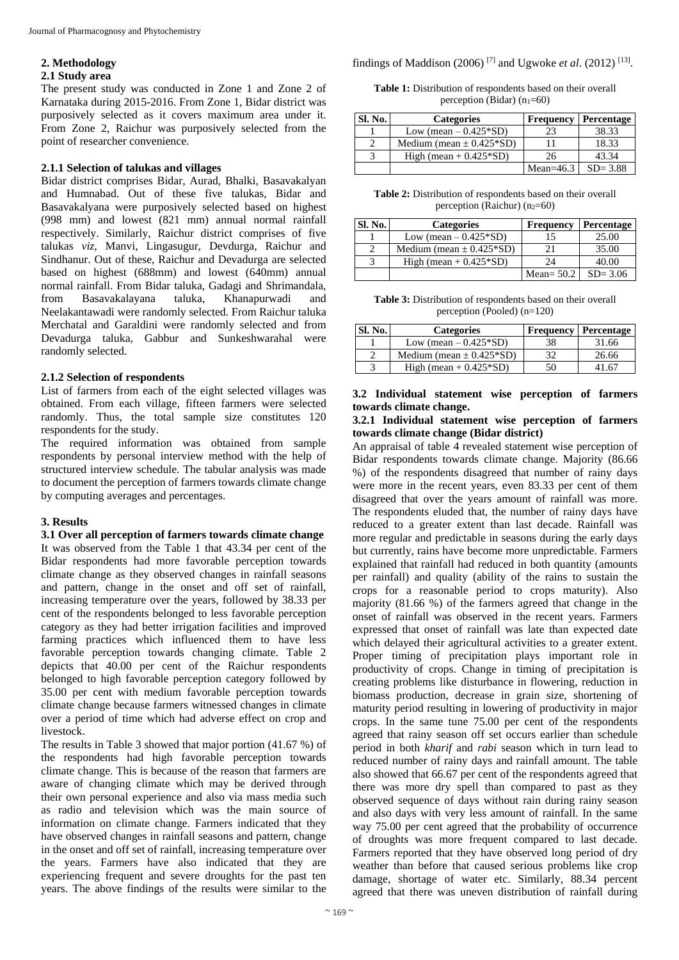#### **2. Methodology**

#### **2.1 Study area**

The present study was conducted in Zone 1 and Zone 2 of Karnataka during 2015-2016. From Zone 1, Bidar district was purposively selected as it covers maximum area under it. From Zone 2, Raichur was purposively selected from the point of researcher convenience.

### **2.1.1 Selection of talukas and villages**

Bidar district comprises Bidar, Aurad, Bhalki, Basavakalyan and Humnabad. Out of these five talukas, Bidar and Basavakalyana were purposively selected based on highest (998 mm) and lowest (821 mm) annual normal rainfall respectively. Similarly, Raichur district comprises of five talukas *viz*, Manvi, Lingasugur, Devdurga, Raichur and Sindhanur. Out of these, Raichur and Devadurga are selected based on highest (688mm) and lowest (640mm) annual normal rainfall. From Bidar taluka, Gadagi and Shrimandala, from Basavakalayana taluka, Khanapurwadi and Neelakantawadi were randomly selected. From Raichur taluka Merchatal and Garaldini were randomly selected and from Devadurga taluka, Gabbur and Sunkeshwarahal were randomly selected.

### **2.1.2 Selection of respondents**

List of farmers from each of the eight selected villages was obtained. From each village, fifteen farmers were selected randomly. Thus, the total sample size constitutes 120 respondents for the study.

The required information was obtained from sample respondents by personal interview method with the help of structured interview schedule. The tabular analysis was made to document the perception of farmers towards climate change by computing averages and percentages.

## **3. Results**

**3.1 Over all perception of farmers towards climate change** It was observed from the Table 1 that 43.34 per cent of the Bidar respondents had more favorable perception towards climate change as they observed changes in rainfall seasons and pattern, change in the onset and off set of rainfall, increasing temperature over the years, followed by 38.33 per cent of the respondents belonged to less favorable perception category as they had better irrigation facilities and improved farming practices which influenced them to have less favorable perception towards changing climate. Table 2 depicts that 40.00 per cent of the Raichur respondents belonged to high favorable perception category followed by 35.00 per cent with medium favorable perception towards climate change because farmers witnessed changes in climate over a period of time which had adverse effect on crop and livestock.

The results in Table 3 showed that major portion (41.67 %) of the respondents had high favorable perception towards climate change. This is because of the reason that farmers are aware of changing climate which may be derived through their own personal experience and also via mass media such as radio and television which was the main source of information on climate change. Farmers indicated that they have observed changes in rainfall seasons and pattern, change in the onset and off set of rainfall, increasing temperature over the years. Farmers have also indicated that they are experiencing frequent and severe droughts for the past ten years. The above findings of the results were similar to the findings of Maddison (2006)<sup>[7]</sup> and Ugwoke *et al.* (2012)<sup>[13]</sup>.

**Table 1:** Distribution of respondents based on their overall perception (Bidar)  $(n_1=60)$ 

| <b>Sl. No.</b> | <b>Categories</b>            | <b>Frequency</b> | Percentage  |
|----------------|------------------------------|------------------|-------------|
|                | Low (mean $-0.425*SD$ )      | 23               | 38.33       |
|                | Medium (mean $\pm$ 0.425*SD) |                  | 18.33       |
|                | High (mean $+$ 0.425 $*$ SD) | 26               | 43.34       |
|                |                              | Mean= $46.3$     | $SD = 3.88$ |

**Table 2:** Distribution of respondents based on their overall perception (Raichur) ( $n_2=60$ )

| <b>Sl. No.</b> | <b>Categories</b>            | <b>Frequency</b> | Percentage  |
|----------------|------------------------------|------------------|-------------|
|                | Low (mean $-0.425*SD$ )      |                  | 25.00       |
|                | Medium (mean $\pm$ 0.425*SD) |                  | 35.00       |
|                | High (mean $+$ 0.425*SD)     | 24               | 40.00       |
|                |                              | Mean= $50.2$     | $SD = 3.06$ |

**Table 3:** Distribution of respondents based on their overall perception (Pooled) (n=120)

| <b>Sl. No.</b> | <b>Categories</b>            |    | <b>Frequency   Percentage</b> |
|----------------|------------------------------|----|-------------------------------|
|                | Low (mean $-0.425*SD$ )      | 38 | 31.66                         |
|                | Medium (mean $\pm$ 0.425*SD) |    | 26.66                         |
|                | High (mean $+$ 0.425 $*$ SD) | 50 | . 67                          |

## **3.2 Individual statement wise perception of farmers towards climate change.**

#### **3.2.1 Individual statement wise perception of farmers towards climate change (Bidar district)**

An appraisal of table 4 revealed statement wise perception of Bidar respondents towards climate change. Majority (86.66 %) of the respondents disagreed that number of rainy days were more in the recent years, even 83.33 per cent of them disagreed that over the years amount of rainfall was more. The respondents eluded that, the number of rainy days have reduced to a greater extent than last decade. Rainfall was more regular and predictable in seasons during the early days but currently, rains have become more unpredictable. Farmers explained that rainfall had reduced in both quantity (amounts per rainfall) and quality (ability of the rains to sustain the crops for a reasonable period to crops maturity). Also majority (81.66 %) of the farmers agreed that change in the onset of rainfall was observed in the recent years. Farmers expressed that onset of rainfall was late than expected date which delayed their agricultural activities to a greater extent. Proper timing of precipitation plays important role in productivity of crops. Change in timing of precipitation is creating problems like disturbance in flowering, reduction in biomass production, decrease in grain size, shortening of maturity period resulting in lowering of productivity in major crops. In the same tune 75.00 per cent of the respondents agreed that rainy season off set occurs earlier than schedule period in both *kharif* and *rabi* season which in turn lead to reduced number of rainy days and rainfall amount. The table also showed that 66.67 per cent of the respondents agreed that there was more dry spell than compared to past as they observed sequence of days without rain during rainy season and also days with very less amount of rainfall. In the same way 75.00 per cent agreed that the probability of occurrence of droughts was more frequent compared to last decade. Farmers reported that they have observed long period of dry weather than before that caused serious problems like crop damage, shortage of water etc. Similarly, 88.34 percent agreed that there was uneven distribution of rainfall during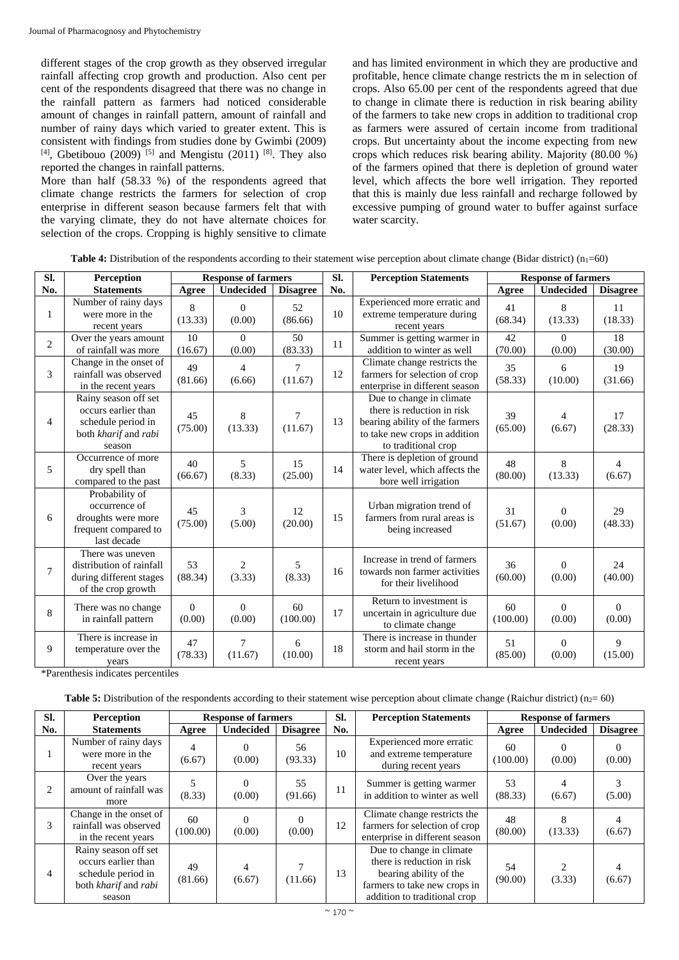different stages of the crop growth as they observed irregular rainfall affecting crop growth and production. Also cent per cent of the respondents disagreed that there was no change in the rainfall pattern as farmers had noticed considerable amount of changes in rainfall pattern, amount of rainfall and number of rainy days which varied to greater extent. This is consistent with findings from studies done by Gwimbi (2009)  $[4]$ , Gbetibouo (2009) <sup>[5]</sup> and Mengistu (2011) <sup>[8]</sup>. They also reported the changes in rainfall patterns.

More than half (58.33 %) of the respondents agreed that climate change restricts the farmers for selection of crop enterprise in different season because farmers felt that with the varying climate, they do not have alternate choices for selection of the crops. Cropping is highly sensitive to climate

and has limited environment in which they are productive and profitable, hence climate change restricts the m in selection of crops. Also 65.00 per cent of the respondents agreed that due to change in climate there is reduction in risk bearing ability of the farmers to take new crops in addition to traditional crop as farmers were assured of certain income from traditional crops. But uncertainty about the income expecting from new crops which reduces risk bearing ability. Majority (80.00 %) of the farmers opined that there is depletion of ground water level, which affects the bore well irrigation. They reported that this is mainly due less rainfall and recharge followed by excessive pumping of ground water to buffer against surface water scarcity.

| Sl.            | Perception                                                                                          |                    | <b>Response of farmers</b> |                 | SI. | <b>Perception Statements</b>                                                                                                                     | <b>Response of farmers</b> |                    |                          |  |
|----------------|-----------------------------------------------------------------------------------------------------|--------------------|----------------------------|-----------------|-----|--------------------------------------------------------------------------------------------------------------------------------------------------|----------------------------|--------------------|--------------------------|--|
| No.            | <b>Statements</b>                                                                                   | Agree              | <b>Undecided</b>           | <b>Disagree</b> | No. |                                                                                                                                                  | Agree                      | <b>Undecided</b>   | <b>Disagree</b>          |  |
| 1              | Number of rainy days<br>were more in the<br>recent years                                            | 8<br>(13.33)       | $\theta$<br>(0.00)         | 52<br>(86.66)   | 10  | Experienced more erratic and<br>extreme temperature during<br>recent years                                                                       | 41<br>(68.34)              | 8<br>(13.33)       | 11<br>(18.33)            |  |
| $\overline{2}$ | Over the years amount<br>of rainfall was more                                                       | 10<br>(16.67)      | $\Omega$<br>(0.00)         | 50<br>(83.33)   | 11  | Summer is getting warmer in<br>addition to winter as well                                                                                        | 42<br>(70.00)              | $\Omega$<br>(0.00) | 18<br>(30.00)            |  |
| 3              | Change in the onset of<br>rainfall was observed<br>in the recent years                              | 49<br>(81.66)      | $\overline{4}$<br>(6.66)   | 7<br>(11.67)    | 12  | Climate change restricts the<br>farmers for selection of crop<br>enterprise in different season                                                  | 35<br>(58.33)              | 6<br>(10.00)       | 19<br>(31.66)            |  |
| 4              | Rainy season off set<br>occurs earlier than<br>schedule period in<br>both kharif and rabi<br>season | 45<br>(75.00)      | 8<br>(13.33)               | 7<br>(11.67)    | 13  | Due to change in climate<br>there is reduction in risk<br>bearing ability of the farmers<br>to take new crops in addition<br>to traditional crop | 39<br>(65.00)              | 4<br>(6.67)        | 17<br>(28.33)            |  |
| 5              | Occurrence of more<br>dry spell than<br>compared to the past                                        | 40<br>(66.67)      | 5<br>(8.33)                | 15<br>(25.00)   | 14  | There is depletion of ground<br>water level, which affects the<br>bore well irrigation                                                           | 48<br>(80.00)              | 8<br>(13.33)       | $\overline{4}$<br>(6.67) |  |
| 6              | Probability of<br>occurrence of<br>droughts were more<br>frequent compared to<br>last decade        | 45<br>(75.00)      | 3<br>(5.00)                | 12<br>(20.00)   | 15  | Urban migration trend of<br>farmers from rural areas is<br>being increased                                                                       | 31<br>(51.67)              | $\Omega$<br>(0.00) | 29<br>(48.33)            |  |
| 7              | There was uneven<br>distribution of rainfall<br>during different stages<br>of the crop growth       | 53<br>(88.34)      | $\overline{2}$<br>(3.33)   | 5<br>(8.33)     | 16  | Increase in trend of farmers<br>towards non farmer activities<br>for their livelihood                                                            | 36<br>(60.00)              | $\Omega$<br>(0.00) | 24<br>(40.00)            |  |
| 8              | There was no change<br>in rainfall pattern                                                          | $\Omega$<br>(0.00) | $\Omega$<br>(0.00)         | 60<br>(100.00)  | 17  | Return to investment is<br>uncertain in agriculture due<br>to climate change                                                                     | 60<br>(100.00)             | $\Omega$<br>(0.00) | $\Omega$<br>(0.00)       |  |
| 9              | There is increase in<br>temperature over the<br>years                                               | 47<br>(78.33)      | $\overline{7}$<br>(11.67)  | 6<br>(10.00)    | 18  | There is increase in thunder<br>storm and hail storm in the<br>recent years                                                                      | 51<br>(85.00)              | $\Omega$<br>(0.00) | 9<br>(15.00)             |  |

| <b>Table 4:</b> Distribution of the respondents according to their statement wise perception about climate change (Bidar district) $(n_1=60)$ |  |  |
|-----------------------------------------------------------------------------------------------------------------------------------------------|--|--|
|-----------------------------------------------------------------------------------------------------------------------------------------------|--|--|

\*Parenthesis indicates percentiles

**Table 5:** Distribution of the respondents according to their statement wise perception about climate change (Raichur district) ( $n_2 = 60$ )

| SI. | <b>Perception</b>                                                                                   | <b>Response of farmers</b> |                    | SI.<br><b>Perception Statements</b> |     |                                                                                                                                                  | <b>Response of farmers</b> |                  |                 |
|-----|-----------------------------------------------------------------------------------------------------|----------------------------|--------------------|-------------------------------------|-----|--------------------------------------------------------------------------------------------------------------------------------------------------|----------------------------|------------------|-----------------|
| No. | <b>Statements</b>                                                                                   | Agree                      | <b>Undecided</b>   | <b>Disagree</b>                     | No. |                                                                                                                                                  | Agree                      | <b>Undecided</b> | <b>Disagree</b> |
|     | Number of rainy days<br>were more in the<br>recent years                                            | 4<br>(6.67)                | 0<br>(0.00)        | 56<br>(93.33)                       | 10  | Experienced more erratic<br>and extreme temperature<br>during recent years                                                                       | 60<br>(100.00)             | (0.00)           | 0<br>(0.00)     |
| 2   | Over the years<br>amount of rainfall was<br>more                                                    | (8.33)                     | 0<br>(0.00)        | 55<br>(91.66)                       | 11  | Summer is getting warmer<br>in addition to winter as well                                                                                        | 53<br>(88.33)              | (6.67)           | (5.00)          |
| 3   | Change in the onset of<br>rainfall was observed<br>in the recent years                              | 60<br>(100.00)             | $\Omega$<br>(0.00) | $\Omega$<br>(0.00)                  | 12  | Climate change restricts the<br>farmers for selection of crop<br>enterprise in different season                                                  | 48<br>(80.00)              | (13.33)          | 4<br>(6.67)     |
| 4   | Rainy season off set<br>occurs earlier than<br>schedule period in<br>both kharif and rabi<br>season | 49<br>(81.66)              | (6.67)             | (11.66)                             | 13  | Due to change in climate<br>there is reduction in risk<br>bearing ability of the<br>farmers to take new crops in<br>addition to traditional crop | 54<br>(90.00)              | (3.33)           | 4<br>(6.67)     |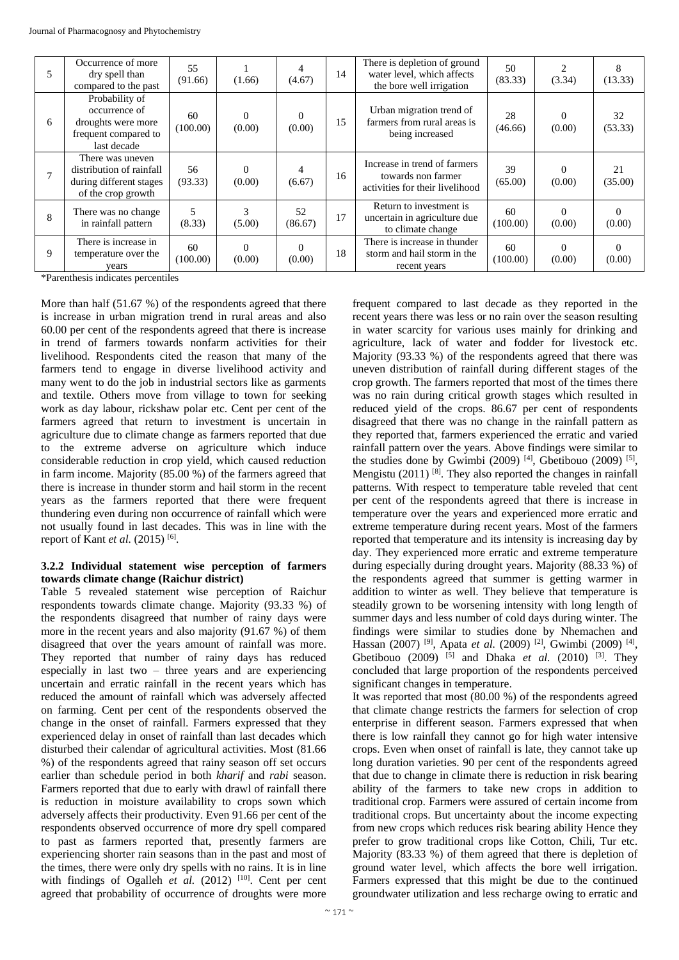| 5 | Occurrence of more<br>dry spell than<br>compared to the past                                  | 55<br>(91.66)  | (1.66)             | (4.67)             | 14 | There is depletion of ground<br>water level, which affects<br>the bore well irrigation | 50<br>(83.33)  | (3.34)             | 8<br>(13.33)       |
|---|-----------------------------------------------------------------------------------------------|----------------|--------------------|--------------------|----|----------------------------------------------------------------------------------------|----------------|--------------------|--------------------|
| 6 | Probability of<br>occurrence of<br>droughts were more<br>frequent compared to<br>last decade  | 60<br>(100.00) | $\Omega$<br>(0.00) | $\Omega$<br>(0.00) | 15 | Urban migration trend of<br>farmers from rural areas is<br>being increased             | 28<br>(46.66)  | $\Omega$<br>(0.00) | 32<br>(53.33)      |
|   | There was uneven<br>distribution of rainfall<br>during different stages<br>of the crop growth | 56<br>(93.33)  | 0<br>(0.00)        | 4<br>(6.67)        | 16 | Increase in trend of farmers<br>towards non farmer<br>activities for their livelihood  | 39<br>(65.00)  | $\Omega$<br>(0.00) | 21<br>(35.00)      |
| 8 | There was no change<br>in rainfall pattern                                                    | 5<br>(8.33)    | 3<br>(5.00)        | 52<br>(86.67)      | 17 | Return to investment is<br>uncertain in agriculture due<br>to climate change           | 60<br>(100.00) | $\Omega$<br>(0.00) | $\Omega$<br>(0.00) |
| 9 | There is increase in<br>temperature over the<br>years                                         | 60<br>(100.00) | $\Omega$<br>(0.00) | $\Omega$<br>(0.00) | 18 | There is increase in thunder<br>storm and hail storm in the<br>recent years            | 60<br>(100.00) | $\Omega$<br>(0.00) | $\Omega$<br>(0.00) |

\*Parenthesis indicates percentiles

More than half (51.67 %) of the respondents agreed that there is increase in urban migration trend in rural areas and also 60.00 per cent of the respondents agreed that there is increase in trend of farmers towards nonfarm activities for their livelihood. Respondents cited the reason that many of the farmers tend to engage in diverse livelihood activity and many went to do the job in industrial sectors like as garments and textile. Others move from village to town for seeking work as day labour, rickshaw polar etc. Cent per cent of the farmers agreed that return to investment is uncertain in agriculture due to climate change as farmers reported that due to the extreme adverse on agriculture which induce considerable reduction in crop yield, which caused reduction in farm income. Majority (85.00 %) of the farmers agreed that there is increase in thunder storm and hail storm in the recent years as the farmers reported that there were frequent thundering even during non occurrence of rainfall which were not usually found in last decades. This was in line with the report of Kant *et al.* (2015)<sup>[6]</sup>.

#### **3.2.2 Individual statement wise perception of farmers towards climate change (Raichur district)**

Table 5 revealed statement wise perception of Raichur respondents towards climate change. Majority (93.33 %) of the respondents disagreed that number of rainy days were more in the recent years and also majority (91.67 %) of them disagreed that over the years amount of rainfall was more. They reported that number of rainy days has reduced especially in last two – three years and are experiencing uncertain and erratic rainfall in the recent years which has reduced the amount of rainfall which was adversely affected on farming. Cent per cent of the respondents observed the change in the onset of rainfall. Farmers expressed that they experienced delay in onset of rainfall than last decades which disturbed their calendar of agricultural activities. Most (81.66 %) of the respondents agreed that rainy season off set occurs earlier than schedule period in both *kharif* and *rabi* season. Farmers reported that due to early with drawl of rainfall there is reduction in moisture availability to crops sown which adversely affects their productivity. Even 91.66 per cent of the respondents observed occurrence of more dry spell compared to past as farmers reported that, presently farmers are experiencing shorter rain seasons than in the past and most of the times, there were only dry spells with no rains. It is in line with findings of Ogalleh *et al.*  $(2012)$  <sup>[10]</sup>. Cent per cent agreed that probability of occurrence of droughts were more

frequent compared to last decade as they reported in the recent years there was less or no rain over the season resulting in water scarcity for various uses mainly for drinking and agriculture, lack of water and fodder for livestock etc. Majority (93.33 %) of the respondents agreed that there was uneven distribution of rainfall during different stages of the crop growth. The farmers reported that most of the times there was no rain during critical growth stages which resulted in reduced yield of the crops. 86.67 per cent of respondents disagreed that there was no change in the rainfall pattern as they reported that, farmers experienced the erratic and varied rainfall pattern over the years. Above findings were similar to the studies done by Gwimbi (2009)<sup>[4]</sup>, Gbetibouo (2009)<sup>[5]</sup>, Mengistu (2011)  $^{[8]}$ . They also reported the changes in rainfall patterns. With respect to temperature table reveled that cent per cent of the respondents agreed that there is increase in temperature over the years and experienced more erratic and extreme temperature during recent years. Most of the farmers reported that temperature and its intensity is increasing day by day. They experienced more erratic and extreme temperature during especially during drought years. Majority (88.33 %) of the respondents agreed that summer is getting warmer in addition to winter as well. They believe that temperature is steadily grown to be worsening intensity with long length of summer days and less number of cold days during winter. The findings were similar to studies done by Nhemachen and Hassan (2007)<sup>[9]</sup>, Apata *et al.* (2009)<sup>[2]</sup>, Gwimbi (2009)<sup>[4]</sup>, Gbetibouo (2009) <sup>[5]</sup> and Dhaka *et al.* (2010) <sup>[3]</sup>. They concluded that large proportion of the respondents perceived significant changes in temperature.

It was reported that most (80.00 %) of the respondents agreed that climate change restricts the farmers for selection of crop enterprise in different season. Farmers expressed that when there is low rainfall they cannot go for high water intensive crops. Even when onset of rainfall is late, they cannot take up long duration varieties. 90 per cent of the respondents agreed that due to change in climate there is reduction in risk bearing ability of the farmers to take new crops in addition to traditional crop. Farmers were assured of certain income from traditional crops. But uncertainty about the income expecting from new crops which reduces risk bearing ability Hence they prefer to grow traditional crops like Cotton, Chili, Tur etc. Majority (83.33 %) of them agreed that there is depletion of ground water level, which affects the bore well irrigation. Farmers expressed that this might be due to the continued groundwater utilization and less recharge owing to erratic and